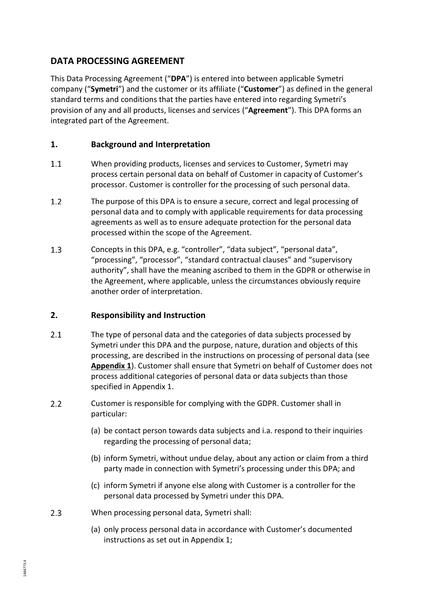## **DATA PROCESSING AGREEMENT**

This Data Processing Agreement ("**DPA**") is entered into between applicable Symetri company ("**Symetri**") and the customer or its affiliate ("**Customer**") as defined in the general standard terms and conditions that the parties have entered into regarding Symetri's provision of any and all products, licenses and services ("**Agreement**"). This DPA forms an integrated part of the Agreement.

### **1. Background and Interpretation**

- $1.1$ When providing products, licenses and services to Customer, Symetri may process certain personal data on behalf of Customer in capacity of Customer's processor. Customer is controller for the processing of such personal data.
- $1.2$ The purpose of this DPA is to ensure a secure, correct and legal processing of personal data and to comply with applicable requirements for data processing agreements as well as to ensure adequate protection for the personal data processed within the scope of the Agreement.
- $1.3$ Concepts in this DPA, e.g. "controller", "data subject", "personal data", "processing", "processor", "standard contractual clauses" and "supervisory authority", shall have the meaning ascribed to them in the GDPR or otherwise in the Agreement, where applicable, unless the circumstances obviously require another order of interpretation.

#### <span id="page-0-0"></span>**2. Responsibility and Instruction**

- $2.1$ The type of personal data and the categories of data subjects processed by Symetri under this DPA and the purpose, nature, duration and objects of this processing, are described in the instructions on processing of personal data (see **Appendix 1**). Customer shall ensure that Symetri on behalf of Customer does not process additional categories of personal data or data subjects than those specified in Appendix 1.
- $2.2$ Customer is responsible for complying with the GDPR. Customer shall in particular:
	- (a) be contact person towards data subjects and i.a. respond to their inquiries regarding the processing of personal data;
	- (b) inform Symetri, without undue delay, about any action or claim from a third party made in connection with Symetri's processing under this DPA; and
	- (c) inform Symetri if anyone else along with Customer is a controller for the personal data processed by Symetri under this DPA.
- $2.3$ When processing personal data, Symetri shall:
	- (a) only process personal data in accordance with Customer's documented instructions as set out in Appendix 1;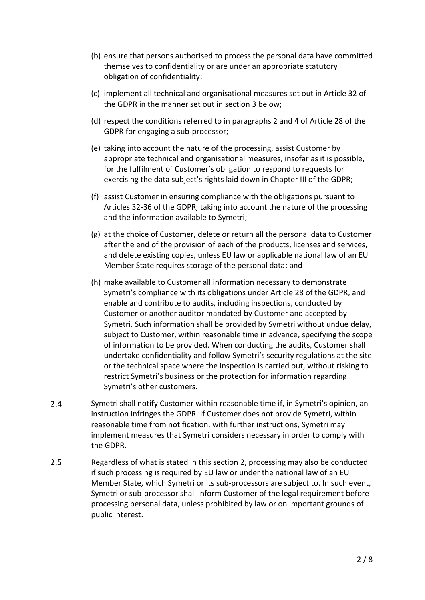- (b) ensure that persons authorised to process the personal data have committed themselves to confidentiality or are under an appropriate statutory obligation of confidentiality;
- (c) implement all technical and organisational measures set out in Article 32 of the GDPR in the manner set out in section [3](#page-2-0) below;
- (d) respect the conditions referred to in paragraphs 2 and 4 of Article 28 of the GDPR for engaging a sub-processor;
- (e) taking into account the nature of the processing, assist Customer by appropriate technical and organisational measures, insofar as it is possible, for the fulfilment of Customer's obligation to respond to requests for exercising the data subject's rights laid down in Chapter III of the GDPR;
- (f) assist Customer in ensuring compliance with the obligations pursuant to Articles 32-36 of the GDPR, taking into account the nature of the processing and the information available to Symetri;
- (g) at the choice of Customer, delete or return all the personal data to Customer after the end of the provision of each of the products, licenses and services, and delete existing copies, unless EU law or applicable national law of an EU Member State requires storage of the personal data; and
- (h) make available to Customer all information necessary to demonstrate Symetri's compliance with its obligations under Article 28 of the GDPR, and enable and contribute to audits, including inspections, conducted by Customer or another auditor mandated by Customer and accepted by Symetri. Such information shall be provided by Symetri without undue delay, subject to Customer, within reasonable time in advance, specifying the scope of information to be provided. When conducting the audits, Customer shall undertake confidentiality and follow Symetri's security regulations at the site or the technical space where the inspection is carried out, without risking to restrict Symetri's business or the protection for information regarding Symetri's other customers.
- $2.4$ Symetri shall notify Customer within reasonable time if, in Symetri's opinion, an instruction infringes the GDPR. If Customer does not provide Symetri, within reasonable time from notification, with further instructions, Symetri may implement measures that Symetri considers necessary in order to comply with the GDPR.
- $2.5$ Regardless of what is stated in this section [2,](#page-0-0) processing may also be conducted if such processing is required by EU law or under the national law of an EU Member State, which Symetri or its sub-processors are subject to. In such event, Symetri or sub-processor shall inform Customer of the legal requirement before processing personal data, unless prohibited by law or on important grounds of public interest.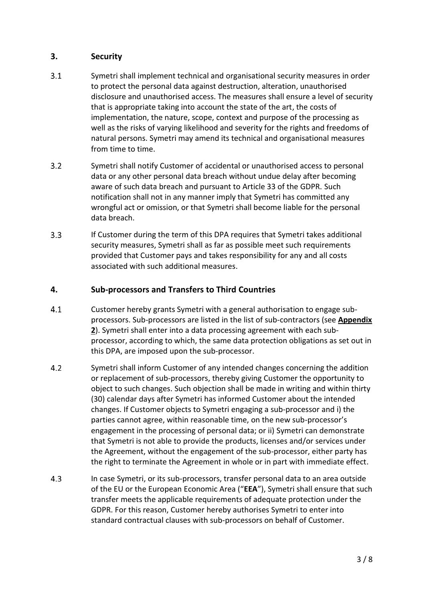#### <span id="page-2-0"></span>**3. Security**

- $3.1$ Symetri shall implement technical and organisational security measures in order to protect the personal data against destruction, alteration, unauthorised disclosure and unauthorised access. The measures shall ensure a level of security that is appropriate taking into account the state of the art, the costs of implementation, the nature, scope, context and purpose of the processing as well as the risks of varying likelihood and severity for the rights and freedoms of natural persons. Symetri may amend its technical and organisational measures from time to time.
- $3.2$ Symetri shall notify Customer of accidental or unauthorised access to personal data or any other personal data breach without undue delay after becoming aware of such data breach and pursuant to Article 33 of the GDPR. Such notification shall not in any manner imply that Symetri has committed any wrongful act or omission, or that Symetri shall become liable for the personal data breach.
- $3.3$ If Customer during the term of this DPA requires that Symetri takes additional security measures, Symetri shall as far as possible meet such requirements provided that Customer pays and takes responsibility for any and all costs associated with such additional measures.

#### **4. Sub-processors and Transfers to Third Countries**

- $4.1$ Customer hereby grants Symetri with a general authorisation to engage subprocessors. Sub-processors are listed in the list of sub-contractors (see **Appendix 2**). Symetri shall enter into a data processing agreement with each subprocessor, according to which, the same data protection obligations as set out in this DPA, are imposed upon the sub-processor.
- $4.2$ Symetri shall inform Customer of any intended changes concerning the addition or replacement of sub-processors, thereby giving Customer the opportunity to object to such changes. Such objection shall be made in writing and within thirty (30) calendar days after Symetri has informed Customer about the intended changes. If Customer objects to Symetri engaging a sub-processor and i) the parties cannot agree, within reasonable time, on the new sub-processor's engagement in the processing of personal data; or ii) Symetri can demonstrate that Symetri is not able to provide the products, licenses and/or services under the Agreement, without the engagement of the sub-processor, either party has the right to terminate the Agreement in whole or in part with immediate effect.
- $4.3$ In case Symetri, or its sub-processors, transfer personal data to an area outside of the EU or the European Economic Area ("**EEA**"), Symetri shall ensure that such transfer meets the applicable requirements of adequate protection under the GDPR. For this reason, Customer hereby authorises Symetri to enter into standard contractual clauses with sub-processors on behalf of Customer.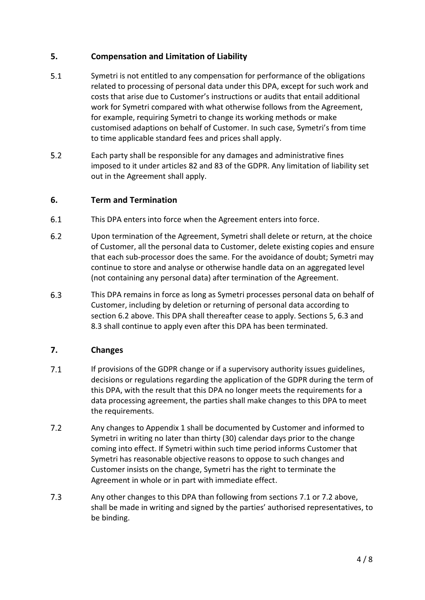### <span id="page-3-1"></span>**5. Compensation and Limitation of Liability**

- $5.1$ Symetri is not entitled to any compensation for performance of the obligations related to processing of personal data under this DPA, except for such work and costs that arise due to Customer's instructions or audits that entail additional work for Symetri compared with what otherwise follows from the Agreement, for example, requiring Symetri to change its working methods or make customised adaptions on behalf of Customer. In such case, Symetri's from time to time applicable standard fees and prices shall apply.
- $5.2$ Each party shall be responsible for any damages and administrative fines imposed to it under articles 82 and 83 of the GDPR. Any limitation of liability set out in the Agreement shall apply.

#### **6. Term and Termination**

- $6.1$ This DPA enters into force when the Agreement enters into force.
- <span id="page-3-0"></span> $6.2$ Upon termination of the Agreement, Symetri shall delete or return, at the choice of Customer, all the personal data to Customer, delete existing copies and ensure that each sub-processor does the same. For the avoidance of doubt; Symetri may continue to store and analyse or otherwise handle data on an aggregated level (not containing any personal data) after termination of the Agreement.
- <span id="page-3-2"></span> $6.3$ This DPA remains in force as long as Symetri processes personal data on behalf of Customer, including by deletion or returning of personal data according to section [6.2](#page-3-0) above. This DPA shall thereafter cease to apply. Sections [5,](#page-3-1) [6.3](#page-3-2) and [8.3](#page-4-0) shall continue to apply even after this DPA has been terminated.

### **7. Changes**

- <span id="page-3-3"></span> $7.1$ If provisions of the GDPR change or if a supervisory authority issues guidelines, decisions or regulations regarding the application of the GDPR during the term of this DPA, with the result that this DPA no longer meets the requirements for a data processing agreement, the parties shall make changes to this DPA to meet the requirements.
- <span id="page-3-4"></span> $7.2$ Any changes to Appendix 1 shall be documented by Customer and informed to Symetri in writing no later than thirty (30) calendar days prior to the change coming into effect. If Symetri within such time period informs Customer that Symetri has reasonable objective reasons to oppose to such changes and Customer insists on the change, Symetri has the right to terminate the Agreement in whole or in part with immediate effect.
- $7.3$ Any other changes to this DPA than following from sections [7.1](#page-3-3) or [7.2](#page-3-4) above, shall be made in writing and signed by the parties' authorised representatives, to be binding.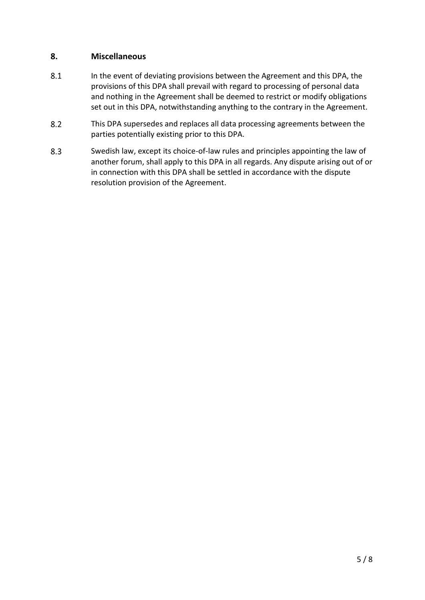#### **8. Miscellaneous**

- 8.1 In the event of deviating provisions between the Agreement and this DPA, the provisions of this DPA shall prevail with regard to processing of personal data and nothing in the Agreement shall be deemed to restrict or modify obligations set out in this DPA, notwithstanding anything to the contrary in the Agreement.
- $8.2$ This DPA supersedes and replaces all data processing agreements between the parties potentially existing prior to this DPA.
- <span id="page-4-0"></span>8.3 Swedish law, except its choice-of-law rules and principles appointing the law of another forum, shall apply to this DPA in all regards. Any dispute arising out of or in connection with this DPA shall be settled in accordance with the dispute resolution provision of the Agreement.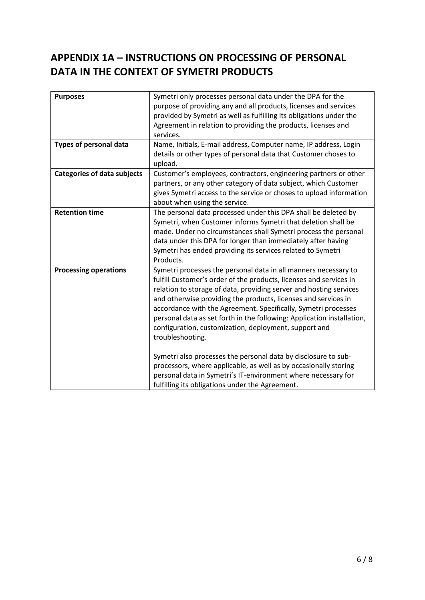# **APPENDIX 1A – INSTRUCTIONS ON PROCESSING OF PERSONAL DATA IN THE CONTEXT OF SYMETRI PRODUCTS**

| Symetri only processes personal data under the DPA for the<br>purpose of providing any and all products, licenses and services<br>provided by Symetri as well as fulfilling its obligations under the<br>Agreement in relation to providing the products, licenses and<br>services.                                                                                                                                                                                                                                                                                                                                                                                                                                                                              |
|------------------------------------------------------------------------------------------------------------------------------------------------------------------------------------------------------------------------------------------------------------------------------------------------------------------------------------------------------------------------------------------------------------------------------------------------------------------------------------------------------------------------------------------------------------------------------------------------------------------------------------------------------------------------------------------------------------------------------------------------------------------|
| Name, Initials, E-mail address, Computer name, IP address, Login<br>details or other types of personal data that Customer choses to<br>upload.                                                                                                                                                                                                                                                                                                                                                                                                                                                                                                                                                                                                                   |
| Customer's employees, contractors, engineering partners or other<br>partners, or any other category of data subject, which Customer<br>gives Symetri access to the service or choses to upload information<br>about when using the service.                                                                                                                                                                                                                                                                                                                                                                                                                                                                                                                      |
| The personal data processed under this DPA shall be deleted by<br>Symetri, when Customer informs Symetri that deletion shall be<br>made. Under no circumstances shall Symetri process the personal<br>data under this DPA for longer than immediately after having<br>Symetri has ended providing its services related to Symetri<br>Products.                                                                                                                                                                                                                                                                                                                                                                                                                   |
| Symetri processes the personal data in all manners necessary to<br>fulfill Customer's order of the products, licenses and services in<br>relation to storage of data, providing server and hosting services<br>and otherwise providing the products, licenses and services in<br>accordance with the Agreement. Specifically, Symetri processes<br>personal data as set forth in the following: Application installation,<br>configuration, customization, deployment, support and<br>troubleshooting.<br>Symetri also processes the personal data by disclosure to sub-<br>processors, where applicable, as well as by occasionally storing<br>personal data in Symetri's IT-environment where necessary for<br>fulfilling its obligations under the Agreement. |
|                                                                                                                                                                                                                                                                                                                                                                                                                                                                                                                                                                                                                                                                                                                                                                  |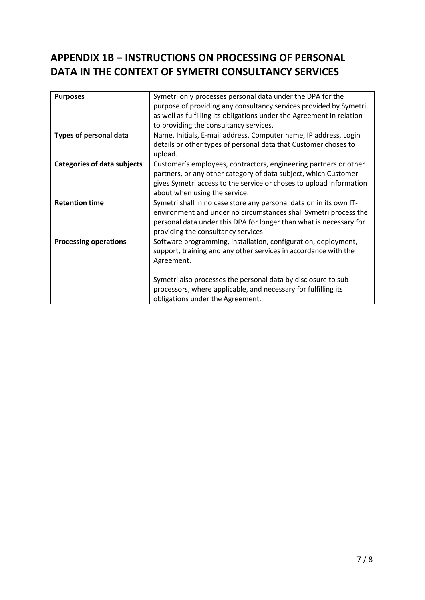# **APPENDIX 1B – INSTRUCTIONS ON PROCESSING OF PERSONAL DATA IN THE CONTEXT OF SYMETRI CONSULTANCY SERVICES**

| <b>Purposes</b>                    | Symetri only processes personal data under the DPA for the<br>purpose of providing any consultancy services provided by Symetri<br>as well as fulfilling its obligations under the Agreement in relation<br>to providing the consultancy services.                                  |
|------------------------------------|-------------------------------------------------------------------------------------------------------------------------------------------------------------------------------------------------------------------------------------------------------------------------------------|
| Types of personal data             | Name, Initials, E-mail address, Computer name, IP address, Login<br>details or other types of personal data that Customer choses to<br>upload.                                                                                                                                      |
| <b>Categories of data subjects</b> | Customer's employees, contractors, engineering partners or other<br>partners, or any other category of data subject, which Customer<br>gives Symetri access to the service or choses to upload information<br>about when using the service.                                         |
| <b>Retention time</b>              | Symetri shall in no case store any personal data on in its own IT-<br>environment and under no circumstances shall Symetri process the<br>personal data under this DPA for longer than what is necessary for<br>providing the consultancy services                                  |
| <b>Processing operations</b>       | Software programming, installation, configuration, deployment,<br>support, training and any other services in accordance with the<br>Agreement.<br>Symetri also processes the personal data by disclosure to sub-<br>processors, where applicable, and necessary for fulfilling its |
|                                    | obligations under the Agreement.                                                                                                                                                                                                                                                    |